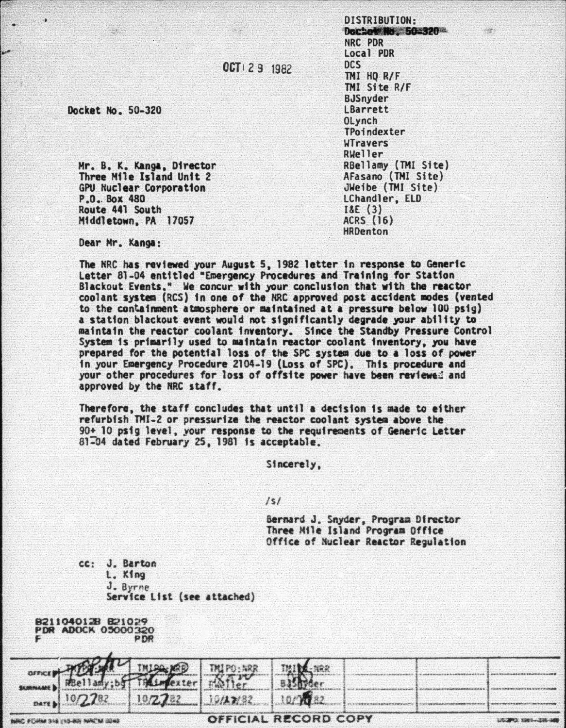OCT 1 2 9 1982

Docket No. 50-320

Mr. B. K. Kanga, Director Three Mile Island Unit 2 **GPU Nuclear Corporation** P.O., Box 480 Route 441 South Middletown, PA 17057

DISTRIBUTION-Declare No. 50232012 NRC PDR Local PDR **DCS** TMI HO R/F TMI Site R/F **BJSnyder LBarrett OLynch** TPoindexter **UTravers** Rueller RBellamy (TMI Site) AFasano (TMI Site) JWeibe (TMI Site) LChandler, ELD  $18E(3)$ **ACRS (16)** HRDenton

Dear Mr. Kanga:

The NRC has reviewed your August 5, 1982 letter in response to Generic Letter 81-04 entitled "Emergency Procedures and Training for Station Blackout Events." We concur with your conclusion that with the reactor coolant system (RCS) in one of the NRC approved post accident modes (vented to the containment atmosphere or maintained at a pressure below 100 psig) a station blackout event would not significantly degrade your ability to maintain the reactor coolant inventory. Since the Standby Pressure Control System is primarily used to maintain reactor coolant inventory, you have prepared for the potential loss of the SPC system due to a loss of power in your Emergency Procedure 2104-19 (Loss of SPC). This procedure and your other procedures for loss of offsite power have been reviewed and approved by the NRC staff.

Therefore, the staff concludes that until a decision is made to either refurbish TMI-2 or pressurize the reactor coolant system above the 90+ 10 psig level, your response to the requirements of Generic Letter 81-04 dated February 25, 1981 is acceptable.

Sincerely.

 $1s1$ 

Bernard J. Snyder, Program Director Three Mile Island Program Office Office of Nuclear Reactor Regulation

cc: J. Barton L. King J. Byrne Service List (see attached)

|  | B211040128 B21029         |  |     |
|--|---------------------------|--|-----|
|  | <b>PDR ADOCK 05000320</b> |  |     |
|  |                           |  | PDR |

|  | OFFICIAL RECORD COPY                  |  |  |  |
|--|---------------------------------------|--|--|--|
|  |                                       |  |  |  |
|  |                                       |  |  |  |
|  | SURVEY 10/2782 19/2782 19/188 19/1882 |  |  |  |